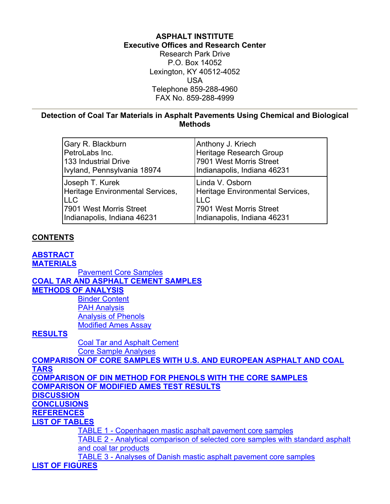# **ASPHALT INSTITUTE Executive Offices and Research Center**

Research Park Drive P.O. Box 14052 Lexington, KY 40512-4052 USA Telephone 859-288-4960 FAX No. 859-288-4999

### <span id="page-0-0"></span>**Detection of Coal Tar Materials in Asphalt Pavements Using Chemical and Biological Methods**

| Gary R. Blackburn                | Anthony J. Kriech                |
|----------------------------------|----------------------------------|
| PetroLabs Inc.                   | Heritage Research Group          |
| 133 Industrial Drive             | 7901 West Morris Street          |
| Ivyland, Pennsylvania 18974      | Indianapolis, Indiana 46231      |
| Joseph T. Kurek                  | Linda V. Osborn                  |
| Heritage Environmental Services, | Heritage Environmental Services, |
| <b>LLC</b>                       | <b>LLC</b>                       |
| 7901 West Morris Street          | 7901 West Morris Street          |
| Indianapolis, Indiana 46231      | Indianapolis, Indiana 46231      |

# **CONTENTS**

#### **[ABSTRACT](#page-1-0) [MATERIALS](#page-1-0)**

[Pavement Core Samples](#page-1-0) **[COAL TAR AND ASPHALT CEMENT SAMPLES](#page-2-0) [METHODS OF ANALYSIS](#page-2-0)** [Binder Content](#page-2-0) [PAH Analysis](#page-2-0) [Analysis of Phenols](#page-2-0) [Modified Ames Assay](#page-3-0) **[RESULTS](#page-3-0)**

> [Coal Tar and Asphalt Cement](#page-3-0) [Core Sample Analyses](#page-3-0)

**[COMPARISON OF CORE SAMPLES WITH U.S. AND EUROPEAN ASPHALT AND COAL](#page-3-0)  [TARS](#page-3-0) [COMPARISON OF DIN METHOD FOR PHENOLS WITH THE CORE SAMPLES](#page-3-0) [COMPARISON OF MODIFIED AMES TEST RESULTS](#page-4-0) [DISCUSSION](#page-4-0) [CONCLUSIONS](#page-4-0) [REFERENCES](#page-4-0) [LIST OF TABLES](#page-5-0)** [TABLE 1 - Copenhagen mastic asphalt pavement core samples](#page-5-0) [TABLE 2 - Analytical comparison of selected core samples with standard asphalt](#page-6-0)  [and coal tar products](#page-6-0) [TABLE 3 - Analyses of Danish mastic asphalt pavement core samples](#page-6-0) **[LIST OF FIGURES](#page-5-0)**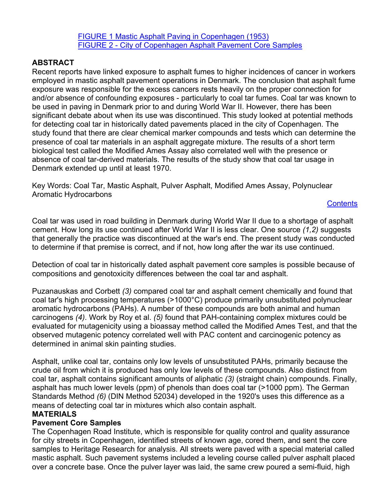[FIGURE 1 Mastic Asphalt Paving in Copenhagen \(1953\)](#page-8-0) [FIGURE 2 - City of Copenhagen Asphalt Pavement Core Samples](#page-8-0)

## <span id="page-1-0"></span>**ABSTRACT**

Recent reports have linked exposure to asphalt fumes to higher incidences of cancer in workers employed in mastic asphalt pavement operations in Denmark. The conclusion that asphalt fume exposure was responsible for the excess cancers rests heavily on the proper connection for and/or absence of confounding exposures - particularly to coal tar fumes. Coal tar was known to be used in paving in Denmark prior to and during World War II. However, there has been significant debate about when its use was discontinued. This study looked at potential methods for detecting coal tar in historically dated pavements placed in the city of Copenhagen. The study found that there are clear chemical marker compounds and tests which can determine the presence of coal tar materials in an asphalt aggregate mixture. The results of a short term biological test called the Modified Ames Assay also correlated well with the presence or absence of coal tar-derived materials. The results of the study show that coal tar usage in Denmark extended up until at least 1970.

Key Words: Coal Tar, Mastic Asphalt, Pulver Asphalt, Modified Ames Assay, Polynuclear Aromatic Hydrocarbons

## **[Contents](#page-0-0)**

Coal tar was used in road building in Denmark during World War II due to a shortage of asphalt cement. How long its use continued after World War II is less clear. One source *(1,2)* suggests that generally the practice was discontinued at the war's end. The present study was conducted to determine if that premise is correct, and if not, how long after the war its use continued.

Detection of coal tar in historically dated asphalt pavement core samples is possible because of compositions and genotoxicity differences between the coal tar and asphalt.

Puzanauskas and Corbett *(3)* compared coal tar and asphalt cement chemically and found that coal tar's high processing temperatures (>1000°C) produce primarily unsubstituted polynuclear aromatic hydrocarbons (PAHs). A number of these compounds are both animal and human carcinogens *(4)*. Work by Roy et al. *(5)* found that PAH-containing complex mixtures could be evaluated for mutagenicity using a bioassay method called the Modified Ames Test, and that the observed mutagenic potency correlated well with PAC content and carcinogenic potency as determined in animal skin painting studies.

Asphalt, unlike coal tar, contains only low levels of unsubstituted PAHs, primarily because the crude oil from which it is produced has only low levels of these compounds. Also distinct from coal tar, asphalt contains significant amounts of aliphatic *(3)* (straight chain) compounds. Finally, asphalt has much lower levels (ppm) of phenols than does coal tar (>1000 ppm). The German Standards Method *(6)* (DIN Method 52034) developed in the 1920's uses this difference as a means of detecting coal tar in mixtures which also contain asphalt.

## **MATERIALS**

## **Pavement Core Samples**

The Copenhagen Road Institute, which is responsible for quality control and quality assurance for city streets in Copenhagen, identified streets of known age, cored them, and sent the core samples to Heritage Research for analysis. All streets were paved with a special material called mastic asphalt. Such pavement systems included a leveling course called pulver asphalt placed over a concrete base. Once the pulver layer was laid, the same crew poured a semi-fluid, high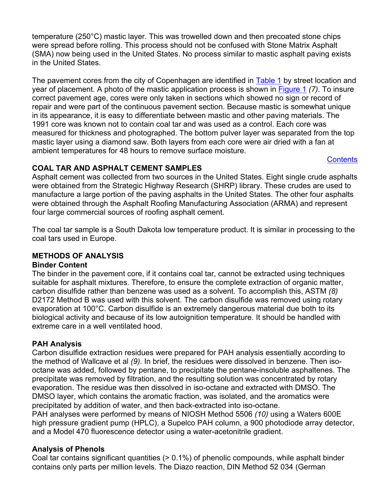<span id="page-2-0"></span>temperature (250°C) mastic layer. This was trowelled down and then precoated stone chips were spread before rolling. This process should not be confused with Stone Matrix Asphalt (SMA) now being used in the United States. No process similar to mastic asphalt paving exists in the United States.

The pavement cores from the city of Copenhagen are identified in [Table 1](#page-5-0) by street location and year of placement. A photo of the mastic application process is shown in [Figure 1](#page-8-0) *(7)*. To insure correct pavement age, cores were only taken in sections which showed no sign or record of repair and were part of the continuous pavement section. Because mastic is somewhat unique in its appearance, it is easy to differentiate between mastic and other paving materials. The 1991 core was known not to contain coal tar and was used as a control. Each core was measured for thickness and photographed. The bottom pulver layer was separated from the top mastic layer using a diamond saw. Both layers from each core were air dried with a fan at ambient temperatures for 48 hours to remove surface moisture.

#### **[Contents](#page-0-0)**

## **COAL TAR AND ASPHALT CEMENT SAMPLES**

Asphalt cement was collected from two sources in the United States. Eight single crude asphalts were obtained from the Strategic Highway Research (SHRP) library. These crudes are used to manufacture a large portion of the paving asphalts in the United States. The other four asphalts were obtained through the Asphalt Roofing Manufacturing Association (ARMA) and represent four large commercial sources of roofing asphalt cement.

The coal tar sample is a South Dakota low temperature product. It is similar in processing to the coal tars used in Europe.

## **METHODS OF ANALYSIS**

#### **Binder Content**

The binder in the pavement core, if it contains coal tar, cannot be extracted using techniques suitable for asphalt mixtures. Therefore, to ensure the complete extraction of organic matter, carbon disulfide rather than benzene was used as a solvent. To accomplish this, ASTM *(8)* D2172 Method B was used with this solvent. The carbon disulfide was removed using rotary evaporation at 100°C. Carbon disulfide is an extremely dangerous material due both to its biological activity and because of its low autoignition temperature. It should be handled with extreme care in a well ventilated hood.

# **PAH Analysis**

Carbon disulfide extraction residues were prepared for PAH analysis essentially according to the method of Wallcave et al *(9)*. In brief, the residues were dissolved in benzene. Then isooctane was added, followed by pentane, to precipitate the pentane-insoluble asphaltenes. The precipitate was removed by filtration, and the resulting solution was concentrated by rotary evaporation. The residue was then dissolved in iso-octane and extracted with DMSO. The DMSO layer, which contains the aromatic fraction, was isolated, and the aromatics were precipitated by addition of water, and then back-extracted into iso-octane.

PAH analyses were performed by means of NIOSH Method 5506 *(10)* using a Waters 600E high pressure gradient pump (HPLC), a Supelco PAH column, a 900 photodiode array detector, and a Model 470 fluorescence detector using a water-acetonitrile gradient.

## **Analysis of Phenols**

Coal tar contains significant quantities (> 0.1%) of phenolic compounds, while asphalt binder contains only parts per million levels. The Diazo reaction, DIN Method 52 034 (German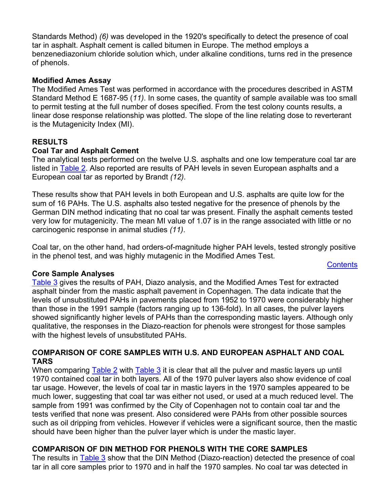<span id="page-3-0"></span>Standards Method) *(6)* was developed in the 1920's specifically to detect the presence of coal tar in asphalt. Asphalt cement is called bitumen in Europe. The method employs a benzenediazonium chloride solution which, under alkaline conditions, turns red in the presence of phenols.

### **Modified Ames Assay**

The Modified Ames Test was performed in accordance with the procedures described in ASTM Standard Method E 1687-95 (*11)*. In some cases, the quantity of sample available was too small to permit testing at the full number of doses specified. From the test colony counts results, a linear dose response relationship was plotted. The slope of the line relating dose to reverterant is the Mutagenicity Index (MI).

### **RESULTS**

#### **Coal Tar and Asphalt Cement**

The analytical tests performed on the twelve U.S. asphalts and one low temperature coal tar are listed in [Table 2](#page-6-0). Also reported are results of PAH levels in seven European asphalts and a European coal tar as reported by Brandt *(12)*.

These results show that PAH levels in both European and U.S. asphalts are quite low for the sum of 16 PAHs. The U.S. asphalts also tested negative for the presence of phenols by the German DIN method indicating that no coal tar was present. Finally the asphalt cements tested very low for mutagenicity. The mean MI value of 1.07 is in the range associated with little or no carcinogenic response in animal studies *(11)*.

Coal tar, on the other hand, had orders-of-magnitude higher PAH levels, tested strongly positive in the phenol test, and was highly mutagenic in the Modified Ames Test.

**[Contents](#page-0-0)** 

#### **Core Sample Analyses**

[Table 3](#page-6-0) gives the results of PAH, Diazo analysis, and the Modified Ames Test for extracted asphalt binder from the mastic asphalt pavement in Copenhagen. The data indicate that the levels of unsubstituted PAHs in pavements placed from 1952 to 1970 were considerably higher than those in the 1991 sample (factors ranging up to 136-fold). In all cases, the pulver layers showed significantly higher levels of PAHs than the corresponding mastic layers. Although only qualitative, the responses in the Diazo-reaction for phenols were strongest for those samples with the highest levels of unsubstituted PAHs.

### **COMPARISON OF CORE SAMPLES WITH U.S. AND EUROPEAN ASPHALT AND COAL TARS**

When comparing [Table 2](#page-6-0) with [Table 3](#page-6-0) it is clear that all the pulver and mastic layers up until 1970 contained coal tar in both layers. All of the 1970 pulver layers also show evidence of coal tar usage. However, the levels of coal tar in mastic layers in the 1970 samples appeared to be much lower, suggesting that coal tar was either not used, or used at a much reduced level. The sample from 1991 was confirmed by the City of Copenhagen not to contain coal tar and the tests verified that none was present. Also considered were PAHs from other possible sources such as oil dripping from vehicles. However if vehicles were a significant source, then the mastic should have been higher than the pulver layer which is under the mastic layer.

## **COMPARISON OF DIN METHOD FOR PHENOLS WITH THE CORE SAMPLES**

The results in **Table 3** show that the DIN Method (Diazo-reaction) detected the presence of coal tar in all core samples prior to 1970 and in half the 1970 samples. No coal tar was detected in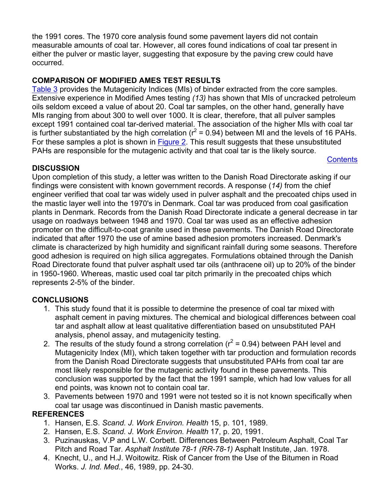<span id="page-4-0"></span>the 1991 cores. The 1970 core analysis found some pavement layers did not contain measurable amounts of coal tar. However, all cores found indications of coal tar present in either the pulver or mastic layer, suggesting that exposure by the paving crew could have occurred.

## **COMPARISON OF MODIFIED AMES TEST RESULTS**

[Table 3](#page-6-0) provides the Mutagenicity Indices (MIs) of binder extracted from the core samples. Extensive experience in Modified Ames testing *(13)* has shown that MIs of uncracked petroleum oils seldom exceed a value of about 20. Coal tar samples, on the other hand, generally have MIs ranging from about 300 to well over 1000. It is clear, therefore, that all pulver samples except 1991 contained coal tar-derived material. The association of the higher MIs with coal tar is further substantiated by the high correlation ( $r^2$  = 0.94) between MI and the levels of 16 PAHs. For these samples a plot is shown in [Figure 2.](#page-8-0) This result suggests that these unsubstituted PAHs are responsible for the mutagenic activity and that coal tar is the likely source.

**[Contents](#page-0-0)** 

## **DISCUSSION**

Upon completion of this study, a letter was written to the Danish Road Directorate asking if our findings were consistent with known government records. A response (*14)* from the chief engineer verified that coal tar was widely used in pulver asphalt and the precoated chips used in the mastic layer well into the 1970's in Denmark. Coal tar was produced from coal gasification plants in Denmark. Records from the Danish Road Directorate indicate a general decrease in tar usage on roadways between 1948 and 1970. Coal tar was used as an effective adhesion promoter on the difficult-to-coat granite used in these pavements. The Danish Road Directorate indicated that after 1970 the use of amine based adhesion promoters increased. Denmark's climate is characterized by high humidity and significant rainfall during some seasons. Therefore good adhesion is required on high silica aggregates. Formulations obtained through the Danish Road Directorate found that pulver asphalt used tar oils (anthracene oil) up to 20% of the binder in 1950-1960. Whereas, mastic used coal tar pitch primarily in the precoated chips which represents 2-5% of the binder.

## **CONCLUSIONS**

- 1. This study found that it is possible to determine the presence of coal tar mixed with asphalt cement in paving mixtures. The chemical and biological differences between coal tar and asphalt allow at least qualitative differentiation based on unsubstituted PAH analysis, phenol assay, and mutagenicity testing.
- 2. The results of the study found a strong correlation ( $r^2$  = 0.94) between PAH level and Mutagenicity Index (MI), which taken together with tar production and formulation records from the Danish Road Directorate suggests that unsubstituted PAHs from coal tar are most likely responsible for the mutagenic activity found in these pavements. This conclusion was supported by the fact that the 1991 sample, which had low values for all end points, was known not to contain coal tar.
- 3. Pavements between 1970 and 1991 were not tested so it is not known specifically when coal tar usage was discontinued in Danish mastic pavements.

## **REFERENCES**

- 1. Hansen, E.S. *Scand. J. Work Environ. Health* 15, p. 101, 1989.
- 2. Hansen, E.S. *Scand. J. Work Environ. Health* 17, p. 20, 1991.
- 3. Puzinauskas, V.P and L.W. Corbett. Differences Between Petroleum Asphalt, Coal Tar Pitch and Road Tar. *Asphalt Institute 78-1 (RR-78-1)* Asphalt Institute, Jan. 1978.
- 4. Knecht, U., and H.J. Woitowitz. Risk of Cancer from the Use of the Bitumen in Road Works. *J. Ind. Med.*, 46, 1989, pp. 24-30.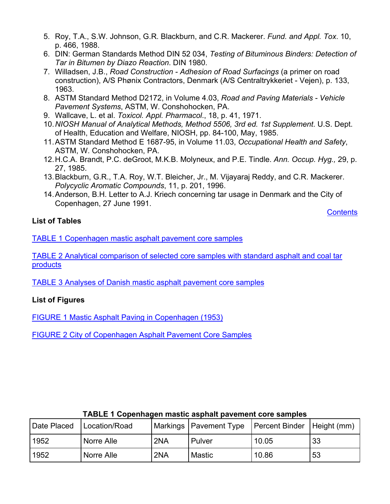- <span id="page-5-0"></span>5. Roy, T.A., S.W. Johnson, G.R. Blackburn, and C.R. Mackerer. *Fund. and Appl. Tox*. 10, p. 466, 1988.
- 6. DIN: German Standards Method DIN 52 034, *Testing of Bituminous Binders: Detection of Tar in Bitumen by Diazo Reaction*. DIN 1980.
- 7. Willadsen, J.B., *Road Construction Adhesion of Road Surfacings* (a primer on road construction), A/S Phønix Contractors, Denmark (A/S Centraltrykkeriet - Vejen), p. 133, 1963.
- 8. ASTM Standard Method D2172, in Volume 4.03, *Road and Paving Materials Vehicle Pavement Systems*, ASTM, W. Conshohocken, PA.
- 9. Wallcave, L. et al. *Toxicol. Appl. Pharmacol*., 18, p. 41, 1971.
- 10. *NIOSH Manual of Analytical Methods, Method 5506, 3rd ed. 1st Supplement*. U.S. Dept. of Health, Education and Welfare, NIOSH, pp. 84-100, May, 1985.
- 11. ASTM Standard Method E 1687-95, in Volume 11.03, *Occupational Health and Safety*, ASTM, W. Conshohocken, PA.
- 12. H.C.A. Brandt, P.C. deGroot, M.K.B. Molyneux, and P.E. Tindle. *Ann. Occup. Hyg.,* 29, p. 27, 1985.
- 13. Blackburn, G.R., T.A. Roy, W.T. Bleicher, Jr., M. Vijayaraj Reddy, and C.R. Mackerer. *Polycyclic Aromatic Compounds*, 11, p. 201, 1996.
- 14. Anderson, B.H. Letter to A.J. Kriech concerning tar usage in Denmark and the City of Copenhagen, 27 June 1991.

**[Contents](#page-0-0)** 

### **List of Tables**

[TABLE 1 Copenhagen mastic asphalt pavement core samples](#page-5-0)

TABLE 2 Analytical comparison of selected core samples with standard asphalt and coal tar products

[TABLE 3 Analyses of Danish mastic asphalt pavement core samples](#page-6-0)

## **List of Figures**

[FIGURE 1 Mastic Asphalt Paving in Copenhagen \(1953\)](#page-8-0)

[FIGURE 2 City of Copenhagen Asphalt Pavement Core Samples](#page-8-0)

| Date Placed | Location/Road |     | Markings   Pavement Type | Percent Binder | $H$ eight (mm) |
|-------------|---------------|-----|--------------------------|----------------|----------------|
| 1952        | Norre Alle    | 2NA | Pulver                   | 10.05          | 33             |
| 1952        | Norre Alle    | 2NA | <b>Mastic</b>            | 10.86          | 53             |

#### **TABLE 1 Copenhagen mastic asphalt pavement core samples**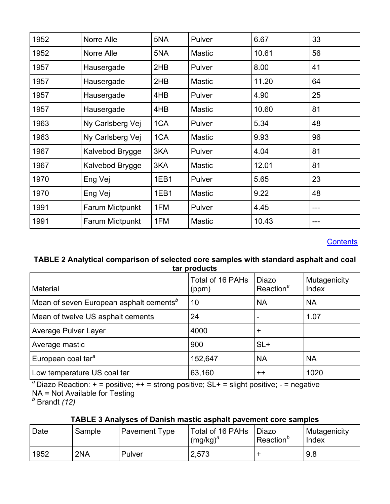<span id="page-6-0"></span>

| 1952 | Norre Alle             | 5NA | Pulver        | 6.67  | 33  |
|------|------------------------|-----|---------------|-------|-----|
| 1952 | Norre Alle             | 5NA | <b>Mastic</b> | 10.61 | 56  |
| 1957 | Hausergade             | 2HB | Pulver        | 8.00  | 41  |
| 1957 | Hausergade             | 2HB | <b>Mastic</b> | 11.20 | 64  |
| 1957 | Hausergade             | 4HB | Pulver        | 4.90  | 25  |
| 1957 | Hausergade             |     | <b>Mastic</b> | 10.60 | 81  |
| 1963 | Ny Carlsberg Vej       |     | Pulver        | 5.34  | 48  |
| 1963 | Ny Carlsberg Vej       |     | <b>Mastic</b> | 9.93  | 96  |
| 1967 | Kalvebod Brygge        | 3KA | Pulver        | 4.04  | 81  |
| 1967 | Kalvebod Brygge        |     | <b>Mastic</b> | 12.01 | 81  |
| 1970 | Eng Vej                |     | Pulver        | 5.65  | 23  |
| 1970 | Eng Vej                |     | <b>Mastic</b> | 9.22  | 48  |
| 1991 | Farum Midtpunkt<br>1FM |     | Pulver        | 4.45  |     |
| 1991 | Farum Midtpunkt<br>1FM |     | <b>Mastic</b> | 10.43 | --- |

**[Contents](#page-0-0)** 

### **TABLE 2 Analytical comparison of selected core samples with standard asphalt and coal tar products**

| Material                                            | Total of 16 PAHs<br>(ppm) | <b>Diazo</b><br>Reaction <sup>a</sup> | Mutagenicity<br>Index |
|-----------------------------------------------------|---------------------------|---------------------------------------|-----------------------|
| Mean of seven European asphalt cements <sup>b</sup> | 10                        | <b>NA</b>                             | <b>NA</b>             |
| Mean of twelve US asphalt cements                   | 24                        |                                       | 1.07                  |
| <b>Average Pulver Layer</b>                         | 4000                      | $\ddot{}$                             |                       |
| Average mastic                                      | 900                       | $SL+$                                 |                       |
| European coal tar <sup>a</sup>                      | 152,647                   | <b>NA</b>                             | <b>NA</b>             |
| Low temperature US coal tar                         | 63,160                    | $++$                                  | 1020                  |

<sup>a</sup> Diazo Reaction: + = positive; ++ = strong positive; SL+ = slight positive; - = negative NA = Not Available for Testing *b* Brandt *(12)* 

## **TABLE 3 Analyses of Danish mastic asphalt pavement core samples**

| Date | Sample | <b>Pavement Type</b> | Total of 16 PAHs<br>$(mg/kg)^a$ | <b>Diazo</b><br>Reaction <sup>o</sup> | Mutagenicity<br><b>Index</b> |
|------|--------|----------------------|---------------------------------|---------------------------------------|------------------------------|
| 1952 | 2NA    | Pulver               | 2,573                           |                                       | l 9.8                        |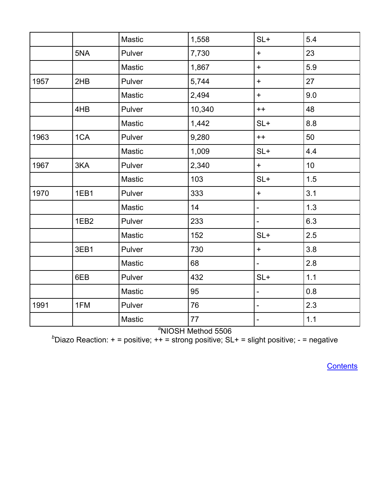|      |                  | Mastic | 1,558  | $SL+$                    | 5.4   |
|------|------------------|--------|--------|--------------------------|-------|
|      | 5NA              | Pulver | 7,730  | $+$                      | 23    |
|      |                  | Mastic | 1,867  | $+$                      | 5.9   |
| 1957 | 2HB              | Pulver | 5,744  | $+$                      | 27    |
|      |                  | Mastic | 2,494  | $+$                      | 9.0   |
|      | 4HB              | Pulver | 10,340 | $++$                     | 48    |
|      |                  | Mastic | 1,442  | $SL+$                    | 8.8   |
| 1963 | 1CA              | Pulver | 9,280  | $++$                     | 50    |
|      |                  | Mastic | 1,009  | $SL+$                    | 4.4   |
| 1967 | 3KA              | Pulver | 2,340  | $+$                      | 10    |
|      |                  | Mastic | 103    | $SL+$                    | 1.5   |
| 1970 | 1EB1             | Pulver | 333    | $+$                      | 3.1   |
|      |                  | Mastic | 14     | $\overline{\phantom{0}}$ | 1.3   |
|      | 1EB <sub>2</sub> | Pulver | 233    | $\blacksquare$           | 6.3   |
|      |                  | Mastic | 152    | $SL+$                    | 2.5   |
|      | 3EB1             | Pulver | 730    | $+$                      | 3.8   |
|      |                  | Mastic | 68     | $\overline{\phantom{0}}$ | 2.8   |
|      | 6EB              | Pulver | 432    | $SL+$                    | 1.1   |
|      |                  | Mastic | 95     | $\overline{\phantom{0}}$ | 0.8   |
| 1991 | 1FM              | Pulver | 76     | $\overline{\phantom{0}}$ | 2.3   |
|      |                  | Mastic | 77     | -                        | $1.1$ |

<sup>a</sup>NIOSH Method 5506<br> *b*Diazo Reaction: + = positive; ++ = strong positive; SL+ = slight positive; - = negative<sup>}</sup>

**[Contents](#page-0-0)**